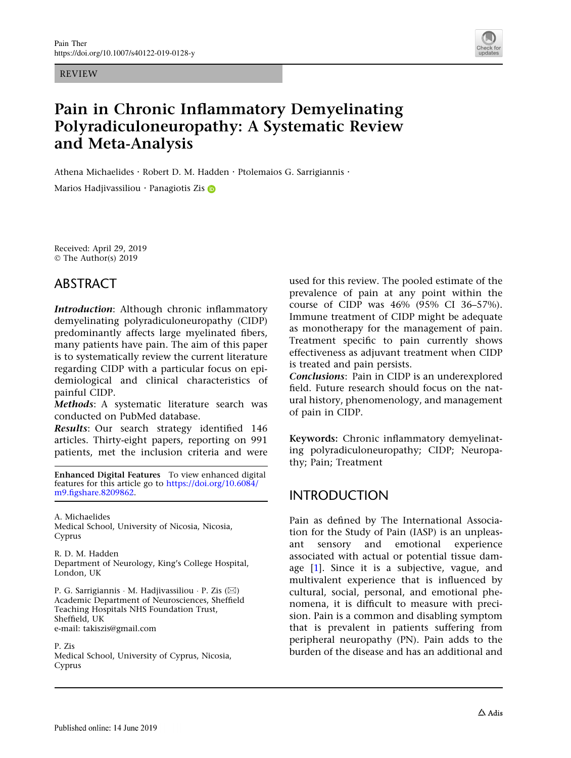REVIEW



# Pain in Chronic Inflammatory Demyelinating Polyradiculoneuropathy: A Systematic Review and Meta-Analysis

Athena Michaelides · Robert D. M. Hadden · Ptolemaios G. Sarrigiannis · Marios Hadjivassiliou · Panagiotis Zis

Received: April 29, 2019 © The Author(s) 2019

### ABSTRACT

Introduction: Although chronic inflammatory demyelinating polyradiculoneuropathy (CIDP) predominantly affects large myelinated fibers, many patients have pain. The aim of this paper is to systematically review the current literature regarding CIDP with a particular focus on epidemiological and clinical characteristics of painful CIDP.

Methods: A systematic literature search was conducted on PubMed database.

Results: Our search strategy identified 146 articles. Thirty-eight papers, reporting on 991 patients, met the inclusion criteria and were

Enhanced Digital Features To view enhanced digital features for this article go to [https://doi.org/10.6084/](https://doi.org/10.6084/m9.figshare.8209862) [m9.figshare.8209862.](https://doi.org/10.6084/m9.figshare.8209862)

A. Michaelides Medical School, University of Nicosia, Nicosia, Cyprus

R. D. M. Hadden Department of Neurology, King's College Hospital, London, UK

P. G. Sarrigiannis · M. Hadjivassiliou · P. Zis (⊠) Academic Department of Neurosciences, Sheffield Teaching Hospitals NHS Foundation Trust, Sheffield, UK e-mail: takiszis@gmail.com

P. Zis

Medical School, University of Cyprus, Nicosia, Cyprus

used for this review. The pooled estimate of the prevalence of pain at any point within the course of CIDP was 46% (95% CI 36–57%). Immune treatment of CIDP might be adequate as monotherapy for the management of pain. Treatment specific to pain currently shows effectiveness as adjuvant treatment when CIDP is treated and pain persists.

Conclusions: Pain in CIDP is an underexplored field. Future research should focus on the natural history, phenomenology, and management of pain in CIDP.

Keywords: Chronic inflammatory demyelinating polyradiculoneuropathy; CIDP; Neuropathy; Pain; Treatment

### INTRODUCTION

Pain as defined by The International Association for the Study of Pain (IASP) is an unpleasant sensory and emotional experience associated with actual or potential tissue damage  $[1]$ . Since it is a subjective, vague, and multivalent experience that is influenced by cultural, social, personal, and emotional phenomena, it is difficult to measure with precision. Pain is a common and disabling symptom that is prevalent in patients suffering from peripheral neuropathy (PN). Pain adds to the burden of the disease and has an additional and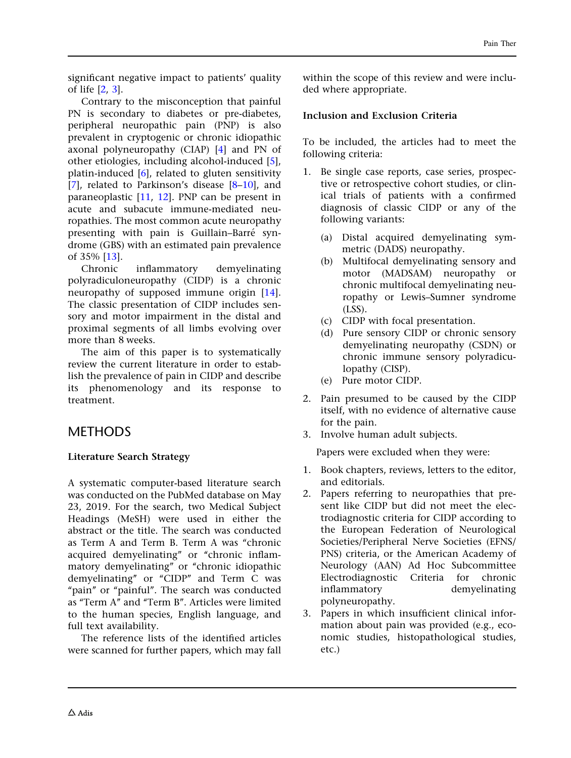significant negative impact to patients' quality of life [[2,](#page-6-0) [3\]](#page-6-0).

Contrary to the misconception that painful PN is secondary to diabetes or pre-diabetes, peripheral neuropathic pain (PNP) is also prevalent in cryptogenic or chronic idiopathic axonal polyneuropathy (CIAP) [\[4](#page-6-0)] and PN of other etiologies, including alcohol-induced [\[5](#page-6-0)], platin-induced [[6\]](#page-6-0), related to gluten sensitivity [\[7\]](#page-6-0), related to Parkinson's disease [\[8–10](#page-6-0)], and paraneoplastic [[11](#page-6-0), [12\]](#page-6-0). PNP can be present in acute and subacute immune-mediated neuropathies. The most common acute neuropathy presenting with pain is Guillain-Barré syndrome (GBS) with an estimated pain prevalence of 35% [[13](#page-6-0)].

Chronic inflammatory demyelinating polyradiculoneuropathy (CIDP) is a chronic neuropathy of supposed immune origin [[14](#page-6-0)]. The classic presentation of CIDP includes sensory and motor impairment in the distal and proximal segments of all limbs evolving over more than 8 weeks.

The aim of this paper is to systematically review the current literature in order to establish the prevalence of pain in CIDP and describe its phenomenology and its response to treatment.

### **METHODS**

### Literature Search Strategy

A systematic computer-based literature search was conducted on the PubMed database on May 23, 2019. For the search, two Medical Subject Headings (MeSH) were used in either the abstract or the title. The search was conducted as Term A and Term B. Term A was ''chronic acquired demyelinating'' or ''chronic inflammatory demyelinating'' or ''chronic idiopathic demyelinating" or "CIDP" and Term C was "pain" or "painful". The search was conducted as ''Term A'' and ''Term B''. Articles were limited to the human species, English language, and full text availability.

The reference lists of the identified articles were scanned for further papers, which may fall within the scope of this review and were included where appropriate.

#### Inclusion and Exclusion Criteria

To be included, the articles had to meet the following criteria:

- 1. Be single case reports, case series, prospective or retrospective cohort studies, or clinical trials of patients with a confirmed diagnosis of classic CIDP or any of the following variants:
	- (a) Distal acquired demyelinating symmetric (DADS) neuropathy.
	- (b) Multifocal demyelinating sensory and motor (MADSAM) neuropathy or chronic multifocal demyelinating neuropathy or Lewis–Sumner syndrome (LSS).
	- (c) CIDP with focal presentation.
	- (d) Pure sensory CIDP or chronic sensory demyelinating neuropathy (CSDN) or chronic immune sensory polyradiculopathy (CISP).
	- (e) Pure motor CIDP.
- 2. Pain presumed to be caused by the CIDP itself, with no evidence of alternative cause for the pain.
- 3. Involve human adult subjects.

Papers were excluded when they were:

- 1. Book chapters, reviews, letters to the editor, and editorials.
- 2. Papers referring to neuropathies that present like CIDP but did not meet the electrodiagnostic criteria for CIDP according to the European Federation of Neurological Societies/Peripheral Nerve Societies (EFNS/ PNS) criteria, or the American Academy of Neurology (AAN) Ad Hoc Subcommittee Electrodiagnostic Criteria for chronic inflammatory demyelinating polyneuropathy.
- 3. Papers in which insufficient clinical information about pain was provided (e.g., economic studies, histopathological studies, etc.)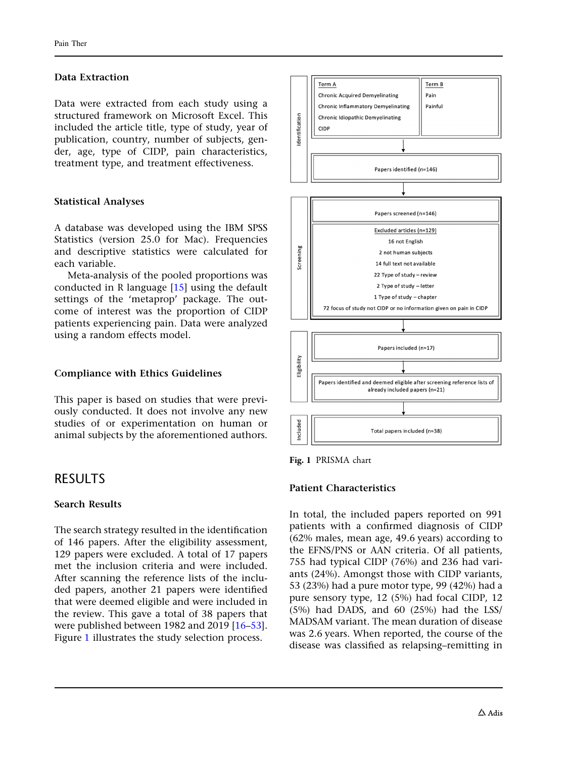#### Data Extraction

Data were extracted from each study using a structured framework on Microsoft Excel. This included the article title, type of study, year of publication, country, number of subjects, gender, age, type of CIDP, pain characteristics, treatment type, and treatment effectiveness.

#### Statistical Analyses

A database was developed using the IBM SPSS Statistics (version 25.0 for Mac). Frequencies and descriptive statistics were calculated for each variable.

Meta-analysis of the pooled proportions was conducted in R language [[15](#page-6-0)] using the default settings of the 'metaprop' package. The outcome of interest was the proportion of CIDP patients experiencing pain. Data were analyzed using a random effects model.

#### Compliance with Ethics Guidelines

This paper is based on studies that were previously conducted. It does not involve any new studies of or experimentation on human or animal subjects by the aforementioned authors.

### RESULTS

### Search Results

The search strategy resulted in the identification of 146 papers. After the eligibility assessment, 129 papers were excluded. A total of 17 papers met the inclusion criteria and were included. After scanning the reference lists of the included papers, another 21 papers were identified that were deemed eligible and were included in the review. This gave a total of 38 papers that were published between 1982 and 2019 [16-[53\]](#page-8-0). Figure 1 illustrates the study selection process.



Fig. 1 PRISMA chart

### Patient Characteristics

In total, the included papers reported on 991 patients with a confirmed diagnosis of CIDP (62% males, mean age, 49.6 years) according to the EFNS/PNS or AAN criteria. Of all patients, 755 had typical CIDP (76%) and 236 had variants (24%). Amongst those with CIDP variants, 53 (23%) had a pure motor type, 99 (42%) had a pure sensory type, 12 (5%) had focal CIDP, 12 (5%) had DADS, and 60 (25%) had the LSS/ MADSAM variant. The mean duration of disease was 2.6 years. When reported, the course of the disease was classified as relapsing–remitting in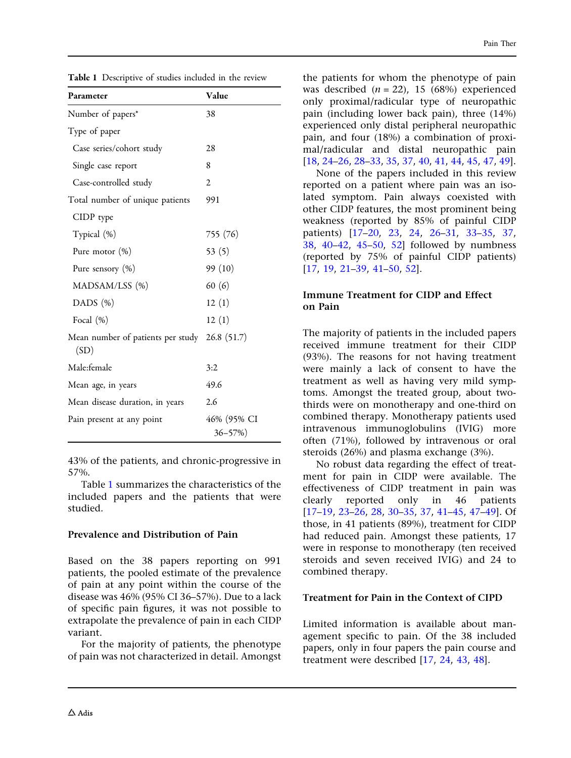| Parameter                                             | Value                       |
|-------------------------------------------------------|-----------------------------|
| Number of papers*                                     | 38                          |
| Type of paper                                         |                             |
| Case series/cohort study                              | 28                          |
| Single case report                                    | 8                           |
| Case-controlled study                                 | 2                           |
| Total number of unique patients                       | 991                         |
| CIDP type                                             |                             |
| Typical (%)                                           | 755 (76)                    |
| Pure motor $(\%)$                                     | 53 $(5)$                    |
| Pure sensory $(\%)$                                   | 99 (10)                     |
| MADSAM/LSS (%)                                        | 60(6)                       |
| DADS $(\%)$                                           | 12(1)                       |
| Focal $(\%)$                                          | 12(1)                       |
| Mean number of patients per study 26.8 (51.7)<br>(SD) |                             |
| Male:female                                           | 3:2                         |
| Mean age, in years                                    | 49.6                        |
| Mean disease duration, in years                       | 2.6                         |
| Pain present at any point                             | 46% (95% CI<br>$36 - 57\%)$ |

Table 1 Descriptive of studies included in the review

43% of the patients, and chronic-progressive in 57%.

Table 1 summarizes the characteristics of the included papers and the patients that were studied.

#### Prevalence and Distribution of Pain

Based on the 38 papers reporting on 991 patients, the pooled estimate of the prevalence of pain at any point within the course of the disease was 46% (95% CI 36–57%). Due to a lack of specific pain figures, it was not possible to extrapolate the prevalence of pain in each CIDP variant.

For the majority of patients, the phenotype of pain was not characterized in detail. Amongst the patients for whom the phenotype of pain was described  $(n = 22)$ , 15 (68%) experienced only proximal/radicular type of neuropathic pain (including lower back pain), three (14%) experienced only distal peripheral neuropathic pain, and four (18%) a combination of proximal/radicular and distal neuropathic pain [\[18,](#page-6-0) [24–26](#page-7-0), [28–33](#page-7-0), [35](#page-7-0), [37](#page-7-0), [40,](#page-7-0) [41,](#page-7-0) [44,](#page-7-0) [45,](#page-8-0) [47](#page-8-0), [49](#page-8-0)]. None of the papers included in this review reported on a patient where pain was an isolated symptom. Pain always coexisted with other CIDP features, the most prominent being weakness (reported by 85% of painful CIDP

patients) [\[17–20](#page-6-0), [23,](#page-7-0) [24](#page-7-0), [26–31](#page-7-0), [33–35](#page-7-0), [37,](#page-7-0) [38,](#page-7-0) [40–42,](#page-7-0) [45–50,](#page-8-0) [52\]](#page-8-0) followed by numbness (reported by 75% of painful CIDP patients) [\[17,](#page-6-0) [19](#page-6-0), [21–39,](#page-7-0) [41](#page-7-0)[–50,](#page-8-0) [52](#page-8-0)].

#### Immune Treatment for CIDP and Effect on Pain

The majority of patients in the included papers received immune treatment for their CIDP (93%). The reasons for not having treatment were mainly a lack of consent to have the treatment as well as having very mild symptoms. Amongst the treated group, about twothirds were on monotherapy and one-third on combined therapy. Monotherapy patients used intravenous immunoglobulins (IVIG) more often (71%), followed by intravenous or oral steroids (26%) and plasma exchange (3%).

No robust data regarding the effect of treatment for pain in CIDP were available. The effectiveness of CIDP treatment in pain was clearly reported only in 46 patients [\[17–19](#page-6-0), [23–26](#page-7-0), [28,](#page-7-0) [30–35](#page-7-0), [37,](#page-7-0) [41](#page-7-0)[–45,](#page-8-0) [47–49\]](#page-8-0). Of those, in 41 patients (89%), treatment for CIDP had reduced pain. Amongst these patients, 17 were in response to monotherapy (ten received steroids and seven received IVIG) and 24 to combined therapy.

#### Treatment for Pain in the Context of CIPD

Limited information is available about management specific to pain. Of the 38 included papers, only in four papers the pain course and treatment were described [[17](#page-6-0), [24](#page-7-0), [43,](#page-7-0) [48](#page-8-0)].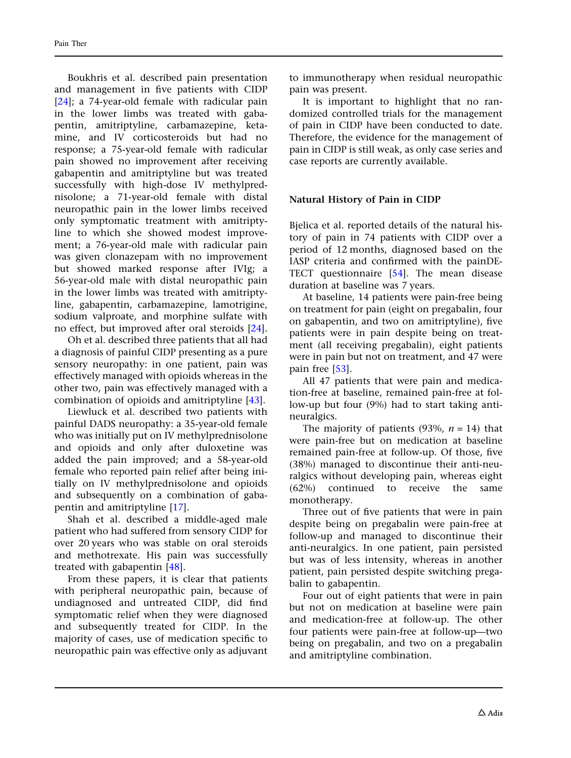Boukhris et al. described pain presentation and management in five patients with CIDP [\[24](#page-7-0)]; a 74-year-old female with radicular pain in the lower limbs was treated with gabapentin, amitriptyline, carbamazepine, ketamine, and IV corticosteroids but had no response; a 75-year-old female with radicular pain showed no improvement after receiving gabapentin and amitriptyline but was treated successfully with high-dose IV methylprednisolone; a 71-year-old female with distal neuropathic pain in the lower limbs received only symptomatic treatment with amitriptyline to which she showed modest improvement; a 76-year-old male with radicular pain was given clonazepam with no improvement but showed marked response after IVIg; a 56-year-old male with distal neuropathic pain in the lower limbs was treated with amitriptyline, gabapentin, carbamazepine, lamotrigine, sodium valproate, and morphine sulfate with no effect, but improved after oral steroids [[24\]](#page-7-0).

Oh et al. described three patients that all had a diagnosis of painful CIDP presenting as a pure sensory neuropathy: in one patient, pain was effectively managed with opioids whereas in the other two, pain was effectively managed with a combination of opioids and amitriptyline [[43\]](#page-7-0).

Liewluck et al. described two patients with painful DADS neuropathy: a 35-year-old female who was initially put on IV methylprednisolone and opioids and only after duloxetine was added the pain improved; and a 58-year-old female who reported pain relief after being initially on IV methylprednisolone and opioids and subsequently on a combination of gabapentin and amitriptyline [\[17\]](#page-6-0).

Shah et al. described a middle-aged male patient who had suffered from sensory CIDP for over 20 years who was stable on oral steroids and methotrexate. His pain was successfully treated with gabapentin [\[48\]](#page-8-0).

From these papers, it is clear that patients with peripheral neuropathic pain, because of undiagnosed and untreated CIDP, did find symptomatic relief when they were diagnosed and subsequently treated for CIDP. In the majority of cases, use of medication specific to neuropathic pain was effective only as adjuvant

to immunotherapy when residual neuropathic pain was present.

It is important to highlight that no randomized controlled trials for the management of pain in CIDP have been conducted to date. Therefore, the evidence for the management of pain in CIDP is still weak, as only case series and case reports are currently available.

#### Natural History of Pain in CIDP

Bjelica et al. reported details of the natural history of pain in 74 patients with CIDP over a period of 12 months, diagnosed based on the IASP criteria and confirmed with the painDE-TECT questionnaire [\[54\]](#page-8-0). The mean disease duration at baseline was 7 years.

At baseline, 14 patients were pain-free being on treatment for pain (eight on pregabalin, four on gabapentin, and two on amitriptyline), five patients were in pain despite being on treatment (all receiving pregabalin), eight patients were in pain but not on treatment, and 47 were pain free [[53](#page-8-0)].

All 47 patients that were pain and medication-free at baseline, remained pain-free at follow-up but four (9%) had to start taking antineuralgics.

The majority of patients (93%,  $n = 14$ ) that were pain-free but on medication at baseline remained pain-free at follow-up. Of those, five (38%) managed to discontinue their anti-neuralgics without developing pain, whereas eight (62%) continued to receive the same monotherapy.

Three out of five patients that were in pain despite being on pregabalin were pain-free at follow-up and managed to discontinue their anti-neuralgics. In one patient, pain persisted but was of less intensity, whereas in another patient, pain persisted despite switching pregabalin to gabapentin.

Four out of eight patients that were in pain but not on medication at baseline were pain and medication-free at follow-up. The other four patients were pain-free at follow-up—two being on pregabalin, and two on a pregabalin and amitriptyline combination.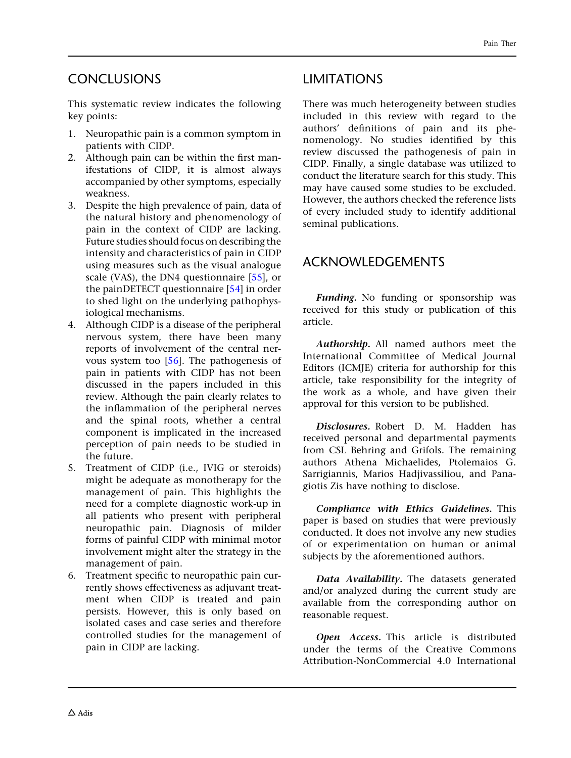## CONCLUSIONS

This systematic review indicates the following key points:

- 1. Neuropathic pain is a common symptom in patients with CIDP.
- 2. Although pain can be within the first manifestations of CIDP, it is almost always accompanied by other symptoms, especially weakness.
- 3. Despite the high prevalence of pain, data of the natural history and phenomenology of pain in the context of CIDP are lacking. Future studies should focus on describing the intensity and characteristics of pain in CIDP using measures such as the visual analogue scale (VAS), the DN4 questionnaire [\[55\]](#page-8-0), or the painDETECT questionnaire [\[54\]](#page-8-0) in order to shed light on the underlying pathophysiological mechanisms.
- 4. Although CIDP is a disease of the peripheral nervous system, there have been many reports of involvement of the central nervous system too  $[56]$  $[56]$  $[56]$ . The pathogenesis of pain in patients with CIDP has not been discussed in the papers included in this review. Although the pain clearly relates to the inflammation of the peripheral nerves and the spinal roots, whether a central component is implicated in the increased perception of pain needs to be studied in the future.
- 5. Treatment of CIDP (i.e., IVIG or steroids) might be adequate as monotherapy for the management of pain. This highlights the need for a complete diagnostic work-up in all patients who present with peripheral neuropathic pain. Diagnosis of milder forms of painful CIDP with minimal motor involvement might alter the strategy in the management of pain.
- 6. Treatment specific to neuropathic pain currently shows effectiveness as adjuvant treatment when CIDP is treated and pain persists. However, this is only based on isolated cases and case series and therefore controlled studies for the management of pain in CIDP are lacking.

## **LIMITATIONS**

There was much heterogeneity between studies included in this review with regard to the authors' definitions of pain and its phenomenology. No studies identified by this review discussed the pathogenesis of pain in CIDP. Finally, a single database was utilized to conduct the literature search for this study. This may have caused some studies to be excluded. However, the authors checked the reference lists of every included study to identify additional seminal publications.

### ACKNOWLEDGEMENTS

Funding. No funding or sponsorship was received for this study or publication of this article.

Authorship. All named authors meet the International Committee of Medical Journal Editors (ICMJE) criteria for authorship for this article, take responsibility for the integrity of the work as a whole, and have given their approval for this version to be published.

Disclosures. Robert D. M. Hadden has received personal and departmental payments from CSL Behring and Grifols. The remaining authors Athena Michaelides, Ptolemaios G. Sarrigiannis, Marios Hadjivassiliou, and Panagiotis Zis have nothing to disclose.

Compliance with Ethics Guidelines. This paper is based on studies that were previously conducted. It does not involve any new studies of or experimentation on human or animal subjects by the aforementioned authors.

Data Availability. The datasets generated and/or analyzed during the current study are available from the corresponding author on reasonable request.

Open Access. This article is distributed under the terms of the Creative Commons Attribution-NonCommercial 4.0 International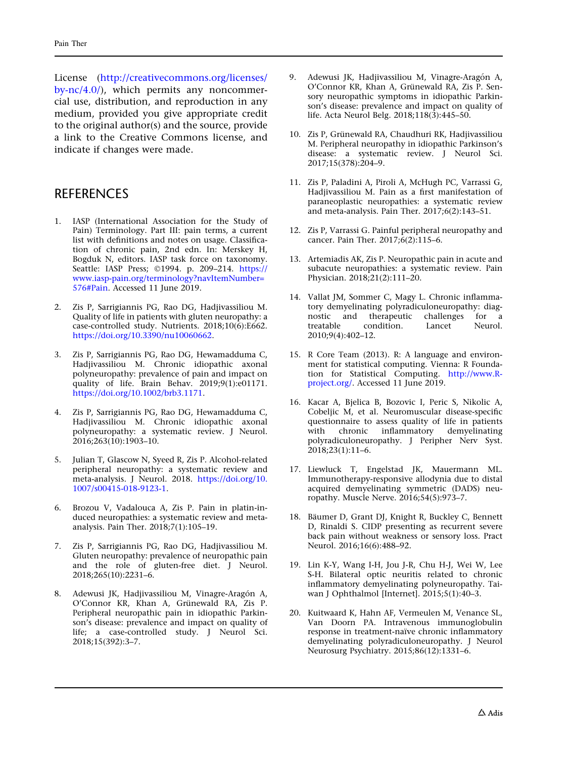<span id="page-6-0"></span>License ([http://creativecommons.org/licenses/](http://creativecommons.org/licenses/by-nc/4.0/) by- $nc/4.0$ , which permits any noncommercial use, distribution, and reproduction in any medium, provided you give appropriate credit to the original author(s) and the source, provide a link to the Creative Commons license, and indicate if changes were made.

### **REFERENCES**

- 1. IASP (International Association for the Study of Pain) Terminology. Part III: pain terms, a current list with definitions and notes on usage. Classification of chronic pain, 2nd edn. In: Merskey H, Bogduk N, editors. IASP task force on taxonomy. Seattle: IASP Press; ©1994. p. 209–214. [https://](https://www.iasp-pain.org/terminology%3fnavItemNumber%3d576#Pain) [www.iasp-pain.org/terminology?navItemNumber=](https://www.iasp-pain.org/terminology%3fnavItemNumber%3d576#Pain) [576#Pain.](https://www.iasp-pain.org/terminology%3fnavItemNumber%3d576#Pain) Accessed 11 June 2019.
- 2. Zis P, Sarrigiannis PG, Rao DG, Hadjivassiliou M. Quality of life in patients with gluten neuropathy: a case-controlled study. Nutrients. 2018;10(6):E662. <https://doi.org/10.3390/nu10060662>.
- 3. Zis P, Sarrigiannis PG, Rao DG, Hewamadduma C, Hadjivassiliou M. Chronic idiopathic axonal polyneuropathy: prevalence of pain and impact on quality of life. Brain Behav. 2019;9(1):e01171. <https://doi.org/10.1002/brb3.1171>.
- 4. Zis P, Sarrigiannis PG, Rao DG, Hewamadduma C, Hadjivassiliou M. Chronic idiopathic axonal polyneuropathy: a systematic review. J Neurol. 2016;263(10):1903–10.
- 5. Julian T, Glascow N, Syeed R, Zis P. Alcohol-related peripheral neuropathy: a systematic review and meta-analysis. J Neurol. 2018. [https://doi.org/10.](https://doi.org/10.1007/s00415-018-9123-1) [1007/s00415-018-9123-1.](https://doi.org/10.1007/s00415-018-9123-1)
- 6. Brozou V, Vadalouca A, Zis P. Pain in platin-induced neuropathies: a systematic review and metaanalysis. Pain Ther. 2018;7(1):105–19.
- 7. Zis P, Sarrigiannis PG, Rao DG, Hadjivassiliou M. Gluten neuropathy: prevalence of neuropathic pain and the role of gluten-free diet. J Neurol. 2018;265(10):2231–6.
- 8. Adewusi JK, Hadjivassiliou M, Vinagre-Aragón A, O'Connor KR, Khan A, Grünewald RA, Zis P. Peripheral neuropathic pain in idiopathic Parkinson's disease: prevalence and impact on quality of life; a case-controlled study. J Neurol Sci. 2018;15(392):3–7.
- 9. Adewusi JK, Hadjivassiliou M, Vinagre-Aragón A, O'Connor KR, Khan A, Grünewald RA, Zis P. Sensory neuropathic symptoms in idiopathic Parkinson's disease: prevalence and impact on quality of life. Acta Neurol Belg. 2018;118(3):445–50.
- 10. Zis P, Grünewald RA, Chaudhuri RK, Hadjivassiliou M. Peripheral neuropathy in idiopathic Parkinson's disease: a systematic review. J Neurol Sci. 2017;15(378):204–9.
- 11. Zis P, Paladini A, Piroli A, McHugh PC, Varrassi G, Hadjivassiliou M. Pain as a first manifestation of paraneoplastic neuropathies: a systematic review and meta-analysis. Pain Ther. 2017;6(2):143–51.
- 12. Zis P, Varrassi G. Painful peripheral neuropathy and cancer. Pain Ther. 2017;6(2):115–6.
- 13. Artemiadis AK, Zis P. Neuropathic pain in acute and subacute neuropathies: a systematic review. Pain Physician. 2018;21(2):111–20.
- 14. Vallat JM, Sommer C, Magy L. Chronic inflammatory demyelinating polyradiculoneuropathy: diagnostic and therapeutic challenges for a<br>treatable condition. Lancet Neurol. condition. Lancet 2010;9(4):402–12.
- 15. R Core Team (2013). R: A language and environment for statistical computing. Vienna: R Foundation for Statistical Computing. [http://www.R](http://www.R-project.org/)[project.org/](http://www.R-project.org/). Accessed 11 June 2019.
- 16. Kacar A, Bjelica B, Bozovic I, Peric S, Nikolic A, Cobeljic M, et al. Neuromuscular disease-specific questionnaire to assess quality of life in patients with chronic inflammatory demyelinating polyradiculoneuropathy. J Peripher Nerv Syst.  $2018;23(1):11-6.$
- 17. Liewluck T, Engelstad JK, Mauermann ML. Immunotherapy-responsive allodynia due to distal acquired demyelinating symmetric (DADS) neuropathy. Muscle Nerve. 2016;54(5):973–7.
- 18. Bäumer D, Grant DJ, Knight R, Buckley C, Bennett D, Rinaldi S. CIDP presenting as recurrent severe back pain without weakness or sensory loss. Pract Neurol. 2016;16(6):488–92.
- 19. Lin K-Y, Wang I-H, Jou J-R, Chu H-J, Wei W, Lee S-H. Bilateral optic neuritis related to chronic inflammatory demyelinating polyneuropathy. Taiwan J Ophthalmol [Internet]. 2015;5(1):40–3.
- 20. Kuitwaard K, Hahn AF, Vermeulen M, Venance SL, Van Doorn PA. Intravenous immunoglobulin response in treatment-naïve chronic inflammatory demyelinating polyradiculoneuropathy. J Neurol Neurosurg Psychiatry. 2015;86(12):1331–6.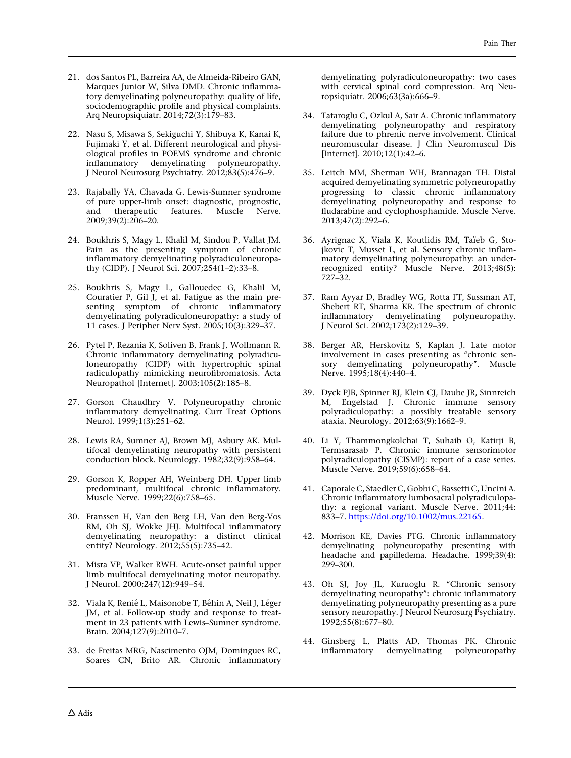- <span id="page-7-0"></span>21. dos Santos PL, Barreira AA, de Almeida-Ribeiro GAN, Marques Junior W, Silva DMD. Chronic inflammatory demyelinating polyneuropathy: quality of life, sociodemographic profile and physical complaints. Arq Neuropsiquiatr. 2014;72(3):179–83.
- 22. Nasu S, Misawa S, Sekiguchi Y, Shibuya K, Kanai K, Fujimaki Y, et al. Different neurological and physiological profiles in POEMS syndrome and chronic inflammatory demyelinating polyneuropathy. J Neurol Neurosurg Psychiatry. 2012;83(5):476–9.
- 23. Rajabally YA, Chavada G. Lewis-Sumner syndrome of pure upper-limb onset: diagnostic, prognostic, and therapeutic features. Muscle Nerve. 2009;39(2):206–20.
- 24. Boukhris S, Magy L, Khalil M, Sindou P, Vallat JM. Pain as the presenting symptom of chronic inflammatory demyelinating polyradiculoneuropathy (CIDP). J Neurol Sci. 2007;254(1–2):33–8.
- 25. Boukhris S, Magy L, Gallouedec G, Khalil M, Couratier P, Gil J, et al. Fatigue as the main presenting symptom of chronic inflammatory demyelinating polyradiculoneuropathy: a study of 11 cases. J Peripher Nerv Syst. 2005;10(3):329–37.
- 26. Pytel P, Rezania K, Soliven B, Frank J, Wollmann R. Chronic inflammatory demyelinating polyradiculoneuropathy (CIDP) with hypertrophic spinal radiculopathy mimicking neurofibromatosis. Acta Neuropathol [Internet]. 2003;105(2):185–8.
- 27. Gorson Chaudhry V. Polyneuropathy chronic inflammatory demyelinating. Curr Treat Options Neurol. 1999;1(3):251–62.
- 28. Lewis RA, Sumner AJ, Brown MJ, Asbury AK. Multifocal demyelinating neuropathy with persistent conduction block. Neurology. 1982;32(9):958–64.
- 29. Gorson K, Ropper AH, Weinberg DH. Upper limb predominant, multifocal chronic inflammatory. Muscle Nerve. 1999;22(6):758–65.
- 30. Franssen H, Van den Berg LH, Van den Berg-Vos RM, Oh SJ, Wokke JHJ. Multifocal inflammatory demyelinating neuropathy: a distinct clinical entity? Neurology. 2012;55(5):735–42.
- 31. Misra VP, Walker RWH. Acute-onset painful upper limb multifocal demyelinating motor neuropathy. J Neurol. 2000;247(12):949–54.
- 32. Viala K, Renié L, Maisonobe T, Béhin A, Neil J, Léger JM, et al. Follow-up study and response to treatment in 23 patients with Lewis–Sumner syndrome. Brain. 2004;127(9):2010–7.
- 33. de Freitas MRG, Nascimento OJM, Domingues RC, Soares CN, Brito AR. Chronic inflammatory

demyelinating polyradiculoneuropathy: two cases with cervical spinal cord compression. Arq Neuropsiquiatr. 2006;63(3a):666–9.

- 34. Tataroglu C, Ozkul A, Sair A. Chronic inflammatory demyelinating polyneuropathy and respiratory failure due to phrenic nerve involvement. Clinical neuromuscular disease. J Clin Neuromuscul Dis [Internet]. 2010;12(1):42–6.
- 35. Leitch MM, Sherman WH, Brannagan TH. Distal acquired demyelinating symmetric polyneuropathy progressing to classic chronic inflammatory demyelinating polyneuropathy and response to fludarabine and cyclophosphamide. Muscle Nerve. 2013;47(2):292–6.
- 36. Ayrignac X, Viala K, Koutlidis RM, Taïeb G, Stojkovic T, Musset L, et al. Sensory chronic inflammatory demyelinating polyneuropathy: an underrecognized entity? Muscle Nerve. 2013;48(5): 727–32.
- 37. Ram Ayyar D, Bradley WG, Rotta FT, Sussman AT, Shebert RT, Sharma KR. The spectrum of chronic inflammatory demyelinating polyneuropathy. J Neurol Sci. 2002;173(2):129–39.
- 38. Berger AR, Herskovitz S, Kaplan J. Late motor involvement in cases presenting as ''chronic sensory demyelinating polyneuropathy''. Muscle Nerve. 1995;18(4):440–4.
- 39. Dyck PJB, Spinner RJ, Klein CJ, Daube JR, Sinnreich M, Engelstad J. Chronic immune sensory polyradiculopathy: a possibly treatable sensory ataxia. Neurology. 2012;63(9):1662–9.
- 40. Li Y, Thammongkolchai T, Suhaib O, Katirji B, Termsarasab P. Chronic immune sensorimotor polyradiculopathy (CISMP): report of a case series. Muscle Nerve. 2019;59(6):658–64.
- 41. Caporale C, Staedler C, Gobbi C, Bassetti C, Uncini A. Chronic inflammatory lumbosacral polyradiculopathy: a regional variant. Muscle Nerve. 2011;44: 833–7. [https://doi.org/10.1002/mus.22165.](https://doi.org/10.1002/mus.22165)
- 42. Morrison KE, Davies PTG. Chronic inflammatory demyelinating polyneuropathy presenting with headache and papilledema. Headache. 1999;39(4): 299–300.
- 43. Oh SJ, Joy JL, Kuruoglu R. ''Chronic sensory demyelinating neuropathy'': chronic inflammatory demyelinating polyneuropathy presenting as a pure sensory neuropathy. J Neurol Neurosurg Psychiatry. 1992;55(8):677–80.
- 44. Ginsberg L, Platts AD, Thomas PK. Chronic inflammatory demyelinating polyneuropathy